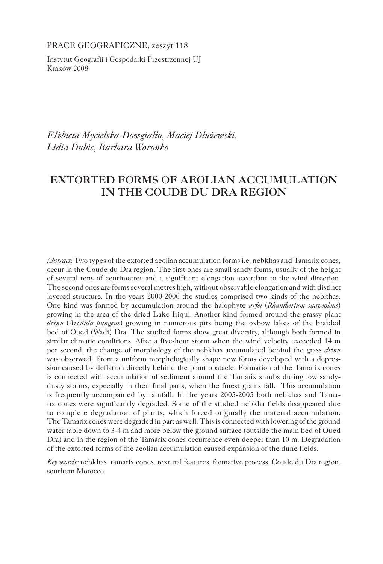PRACE GEOGRAFICZNE, zeszyt 118

Instytut Geografii i Gospodarki Przestrzennej UJ Kraków 2008

*Elżbieta Mycielska-Dowgiałło, Maciej Dłużewski, Lidia Dubis, Barbara Woronko*

# **EXTORTED FORMS OF AEOLIAN ACCUMULATION IN THE COUDE DU DRA REGION**

*Abstract*: Two types of the extorted aeolian accumulation forms i.e. nebkhas and Tamarix cones, occur in the Coude du Dra region. The first ones are small sandy forms, usually of the height of several tens of centimetres and a significant elongation accordant to the wind direction. The second ones are forms several metres high, without observable elongation and with distinct layered structure. In the years 2000-2006 the studies comprised two kinds of the nebkhas. One kind was formed by accumulation around the halophyte *arfej* (*Rhantherium suaveolens*) growing in the area of the dried Lake Iriqui. Another kind formed around the grassy plant *drinn* (*Aristida pungens*) growing in numerous pits being the oxbow lakes of the braided bed of Oued (Wadi) Dra. The studied forms show great diversity, although both formed in similar climatic conditions. After a five-hour storm when the wind velocity exceeded 14 m per second, the change of morphology of the nebkhas accumulated behind the grass *drinn* was obserwed. From a uniform morphologically shape new forms developed with a depression caused by deflation directly behind the plant obstacle. Formation of the Tamarix cones is connected with accumulation of sediment around the Tamarix shrubs during low sandydusty storms, especially in their final parts, when the finest grains fall. This accumulation is frequently accompanied by rainfall. In the years 2005-2005 both nebkhas and Tamarix cones were significantly degraded. Some of the studied nebkha fields disappeared due to complete degradation of plants, which forced originally the material accumulation. The Tamarix cones were degraded in part as well. This is connected with lowering of the ground water table down to 3-4 m and more below the ground surface (outside the main bed of Oued Dra) and in the region of the Tamarix cones occurrence even deeper than 10 m. Degradation of the extorted forms of the aeolian accumulation caused expansion of the dune fields.

*Key words:* nebkhas, tamarix cones, textural features, formative process, Coude du Dra region, southern Morocco.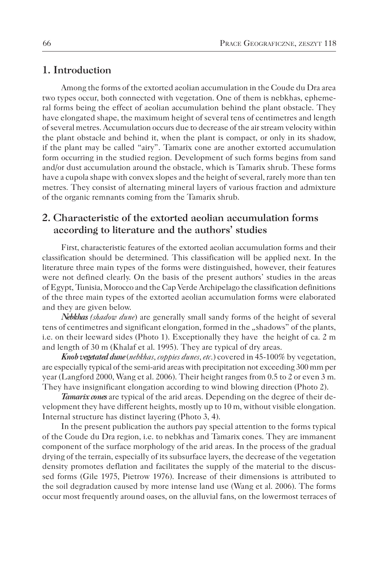### **1. Introduction**

Among the forms of the extorted aeolian accumulation in the Coude du Dra area two types occur, both connected with vegetation. One of them is nebkhas, ephemeral forms being the effect of aeolian accumulation behind the plant obstacle. They have elongated shape, the maximum height of several tens of centimetres and length of several metres. Accumulation occurs due to decrease of the air stream velocity within the plant obstacle and behind it, when the plant is compact, or only in its shadow, if the plant may be called "airy". Tamarix cone are another extorted accumulation form occurring in the studied region. Development of such forms begins from sand and/or dust accumulation around the obstacle, which is Tamarix shrub. These forms have a cupola shape with convex slopes and the height of several, rarely more than ten metres. They consist of alternating mineral layers of various fraction and admixture of the organic remnants coming from the Tamarix shrub.

## **2. Characteristic of the extorted aeolian accumulation forms according to literature and the authors' studies**

First, characteristic features of the extorted aeolian accumulation forms and their classification should be determined. This classification will be applied next. In the literature three main types of the forms were distinguished, however, their features were not defined clearly. On the basis of the present authors' studies in the areas of Egypt, Tunisia, Morocco and the Cap Verde Archipelago the classification definitions of the three main types of the extorted aeolian accumulation forms were elaborated and they are given below.

*Nebkhas (shadow dune*) are generally small sandy forms of the height of several tens of centimetres and significant elongation, formed in the "shadows" of the plants, i.e. on their leeward sides (Photo 1). Exceptionally they have the height of ca. 2 m and length of 30 m (Khalaf et al. 1995). They are typical of dry areas.

*Knob vegetated dune* (*nebkhas, coppies dunes, etc*.) covered in 45-100% by vegetation, are especially typical of the semi-arid areas with precipitation not exceeding 300 mm per year (Langford 2000, Wang et al. 2006). Their height ranges from 0.5 to 2 or even 3 m. They have insignificant elongation according to wind blowing direction (Photo 2).

*Tamarix cones* are typical of the arid areas. Depending on the degree of their development they have different heights, mostly up to 10 m, without visible elongation. Internal structure has distinct layering (Photo 3, 4).

In the present publication the authors pay special attention to the forms typical of the Coude du Dra region, i.e. to nebkhas and Tamarix cones. They are immanent component of the surface morphology of the arid areas. In the process of the gradual drying of the terrain, especially of its subsurface layers, the decrease of the vegetation density promotes deflation and facilitates the supply of the material to the discussed forms (Gile 1975, Pietrow 1976). Increase of their dimensions is attributed to the soil degradation caused by more intense land use (Wang et al. 2006). The forms occur most frequently around oases, on the alluvial fans, on the lowermost terraces of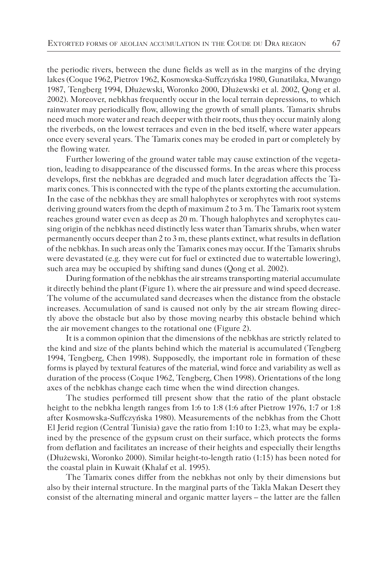the periodic rivers, between the dune fields as well as in the margins of the drying lakes (Coque 1962, Pietrov 1962, Kosmowska-Suffczyńska 1980, Gunatilaka, Mwango 1987, Tengberg 1994, Dłużewski, Woronko 2000, Dłużewski et al. 2002, Qong et al. 2002). Moreover, nebkhas frequently occur in the local terrain depressions, to which rainwater may periodically flow, allowing the growth of small plants. Tamarix shrubs need much more water and reach deeper with their roots, thus they occur mainly along the riverbeds, on the lowest terraces and even in the bed itself, where water appears once every several years. The Tamarix cones may be eroded in part or completely by the flowing water.

Further lowering of the ground water table may cause extinction of the vegetation, leading to disappearance of the discussed forms. In the areas where this process develops, first the nebkhas are degraded and much later degradation affects the Tamarix cones. This is connected with the type of the plants extorting the accumulation. In the case of the nebkhas they are small halophytes or xerophytes with root systems deriving ground waters from the depth of maximum 2 to 3 m. The Tamarix root system reaches ground water even as deep as 20 m. Though halophytes and xerophytes causing origin of the nebkhas need distinctly less water than Tamarix shrubs, when water permanently occurs deeper than 2 to 3 m, these plants extinct, what results in deflation of the nebkhas. In such areas only the Tamarix cones may occur. If the Tamarix shrubs were devastated (e.g. they were cut for fuel or extincted due to watertable lowering), such area may be occupied by shifting sand dunes (Qong et al. 2002).

During formation of the nebkhas the air streams transporting material accumulate it directly behind the plant (Figure 1). where the air pressure and wind speed decrease. The volume of the accumulated sand decreases when the distance from the obstacle increases. Accumulation of sand is caused not only by the air stream flowing directly above the obstacle but also by those moving nearby this obstacle behind which the air movement changes to the rotational one (Figure 2).

It is a common opinion that the dimensions of the nebkhas are strictly related to the kind and size of the plants behind which the material is accumulated (Tengberg 1994, Tengberg, Chen 1998). Supposedly, the important role in formation of these forms is played by textural features of the material, wind force and variability as well as duration of the process (Coque 1962, Tengberg, Chen 1998). Orientations of the long axes of the nebkhas change each time when the wind direction changes.

The studies performed till present show that the ratio of the plant obstacle height to the nebkha length ranges from 1:6 to 1:8 (1:6 after Pietrow 1976, 1:7 or 1:8 after Kosmowska-Suffczyńska 1980). Measurements of the nebkhas from the Chott El Jerid region (Central Tunisia) gave the ratio from 1:10 to 1:23, what may be explained by the presence of the gypsum crust on their surface, which protects the forms from deflation and facilitates an increase of their heights and especially their lengths (Dłużewski, Woronko 2000). Similar height-to-length ratio (1:15) has been noted for the coastal plain in Kuwait (Khalaf et al. 1995).

The Tamarix cones differ from the nebkhas not only by their dimensions but also by their internal structure. In the marginal parts of the Takla Makan Desert they consist of the alternating mineral and organic matter layers – the latter are the fallen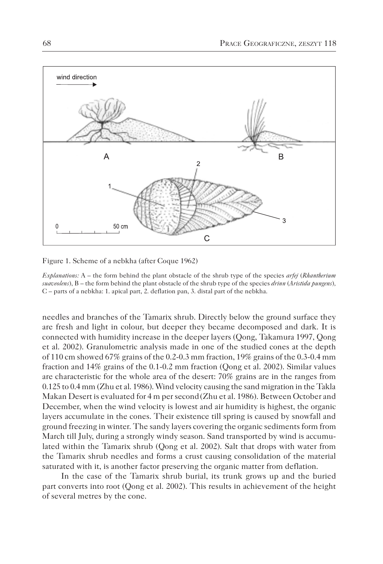

Figure 1. Scheme of a nebkha (after Coque 1962)

*Explanations:* A – the form behind the plant obstacle of the shrub type of the species *arfej (Rhantherium*) *suaveolens*), B – the form behind the plant obstacle of the shrub type of the species *drinn* (*Aristida pungens*)*,* C – parts of a nebkha: 1. apical part, 2. deflation pan, 3. distal part of the nebkha.

needles and branches of the Tamarix shrub. Directly below the ground surface they are fresh and light in colour, but deeper they became decomposed and dark. It is connected with humidity increase in the deeper layers (Qong, Takamura 1997, Qong et al. 2002). Granulometric analysis made in one of the studied cones at the depth of 110 cm showed 67% grains of the 0.2-0.3 mm fraction, 19% grains of the 0.3-0.4 mm fraction and 14% grains of the 0.1-0.2 mm fraction (Qong et al. 2002). Similar values are characteristic for the whole area of the desert: 70% grains are in the ranges from 0.125 to 0.4 mm (Zhu et al. 1986). Wind velocity causing the sand migration in the Takla Makan Desert is evaluated for 4 m per second(Zhu et al. 1986). Between October and December, when the wind velocity is lowest and air humidity is highest, the organic layers accumulate in the cones. Their existence till spring is caused by snowfall and ground freezing in winter. The sandy layers covering the organic sediments form from March till July, during a strongly windy season. Sand transported by wind is accumulated within the Tamarix shrub (Qong et al. 2002). Salt that drops with water from the Tamarix shrub needles and forms a crust causing consolidation of the material saturated with it, is another factor preserving the organic matter from deflation.

In the case of the Tamarix shrub burial, its trunk grows up and the buried part converts into root (Qong et al. 2002). This results in achievement of the height of several metres by the cone.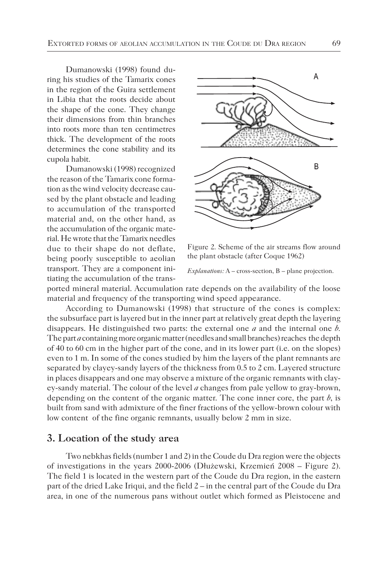Dumanowski (1998) found during his studies of the Tamarix cones in the region of the Guira settlement in Libia that the roots decide about the shape of the cone. They change their dimensions from thin branches into roots more than ten centimetres thick. The development of the roots determines the cone stability and its cupola habit.

Dumanowski (1998) recognized the reason of the Tamarix cone formation as the wind velocity decrease caused by the plant obstacle and leading to accumulation of the transported material and, on the other hand, as the accumulation of the organic material. He wrote that the Tamarix needles due to their shape do not deflate, being poorly susceptible to aeolian transport. They are a component initiating the accumulation of the trans-



Figure 2. Scheme of the air streams flow around the plant obstacle (after Coque 1962)

*Explanations:* A – cross-section, B – plane projection.

ported mineral material. Accumulation rate depends on the availability of the loose material and frequency of the transporting wind speed appearance.

According to Dumanowski (1998) that structure of the cones is complex: the subsurface part is layered but in the inner part at relatively great depth the layering disappears. He distinguished two parts: the external one *a* and the internal one *b.* The part *a* containing more organic matter (needles and small branches) reaches the depth of 40 to 60 cm in the higher part of the cone, and in its lower part (i.e. on the slopes) even to 1 m. In some of the cones studied by him the layers of the plant remnants are separated by clayey-sandy layers of the thickness from 0.5 to 2 cm. Layered structure in places disappears and one may observe a mixture of the organic remnants with clayey-sandy material. The colour of the level *a* changes from pale yellow to gray-brown, depending on the content of the organic matter. The cone inner core, the part  $b$ , is built from sand with admixture of the finer fractions of the yellow-brown colour with low content of the fine organic remnants, usually below 2 mm in size.

### **3. Location of the study area**

Two nebkhas fields (number 1 and 2) in the Coude du Dra region were the objects of investigations in the years 2000-2006 (Dłużewski, Krzemień 2008 – Figure 2). The field 1 is located in the western part of the Coude du Dra region, in the eastern part of the dried Lake Iriqui, and the field 2 – in the central part of the Coude du Dra area, in one of the numerous pans without outlet which formed as Pleistocene and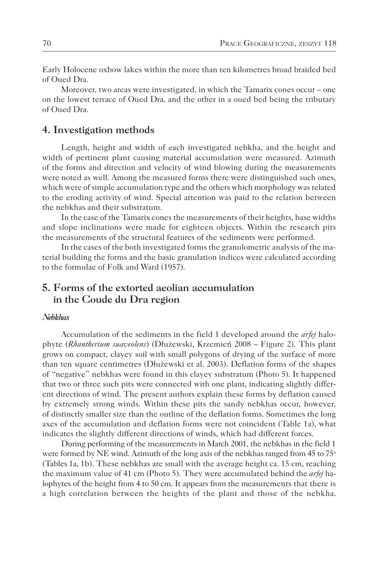Early Holocene oxbow lakes within the more than ten kilometres broad braided bed of Oued Dra.

Moreover, two areas were investigated, in which the Tamarix cones occur – one on the lowest terrace of Oued Dra, and the other in a oued bed being the tributary of Oued Dra.

### **4. Investigation methods**

Length, height and width of each investigated nebkha, and the height and width of pertinent plant causing material accumulation were measured. Azimuth of the forms and direction and velocity of wind blowing during the measurements were noted as well. Among the measured forms there were distinguished such ones, which were of simple accumulation type and the others which morphology was related to the eroding activity of wind. Special attention was paid to the relation between the nebkhas and their substratum.

In the case of the Tamarix cones the measurements of their heights, base widths and slope inclinations were made for eighteen objects. Within the research pits the measurements of the structural features of the sediments were performed.

In the cases of the both investigated forms the granulometric analysis of the material building the forms and the basic granulation indices were calculated according to the formulae of Folk and Ward (1957).

## **5. Forms of the extorted aeolian accumulation in the Coude du Dra region**

#### *Nebkhas*

Accumulation of the sediments in the field 1 developed around the *arfej* halophyte (*Rhantherium suaveolens*) (Dłużewski, Krzemień 2008 – Figure 2). This plant grows on compact, clayey soil with small polygons of drying of the surface of more than ten square centimetres (Dłużewski et al. 2003). Deflation forms of the shapes of "negative" nebkhas were found in this clayey substratum (Photo 5). It happened that two or three such pits were connected with one plant, indicating slightly different directions of wind. The present authors explain these forms by deflation caused by extremely strong winds. Within these pits the sandy nebkhas occur, however, of distinctly smaller size than the outline of the deflation forms. Sometimes the long axes of the accumulation and deflation forms were not coincident (Table 1a), what indicates the slightly different directions of winds, which had different forces.

During performing of the measurements in March 2001, the nebkhas in the field 1 were formed by NE wind. Azimuth of the long axis of the nebkhas ranged from 45 to 75<sup>o</sup> (Tables 1a, 1b). These nebkhas are small with the average height ca. 15 cm, reaching the maximum value of 41 cm (Photo 5). They were accumulated behind the *arfej* halophytes of the height from 4 to 50 cm. It appears from the measurements that there is a high correlation between the heights of the plant and those of the nebkha.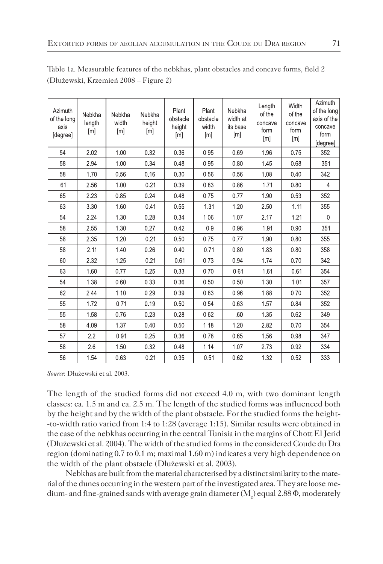| Azimuth<br>of the long<br>axis<br>[degree] | Nebkha<br>length<br>[m] | Nebkha<br>width<br>[m] | Nebkha<br>height<br>[m] | Plant<br>obstacle<br>height<br>[m] | Plant<br>obstacle<br>width<br>[m] | Nebkha<br>width at<br>its base<br>$\lceil m \rceil$ | Length<br>of the<br>concave<br>form<br>[m] | Width<br>of the<br>concave<br>form<br>[m] | Azimuth<br>of the long<br>axis of the<br>concave<br>form<br>[degree] |
|--------------------------------------------|-------------------------|------------------------|-------------------------|------------------------------------|-----------------------------------|-----------------------------------------------------|--------------------------------------------|-------------------------------------------|----------------------------------------------------------------------|
| 54                                         | 2.02                    | 1.00                   | 0.32                    | 0.36                               | 0.95                              | 0.69                                                | 1.96                                       | 0.75                                      | 352                                                                  |
| 58                                         | 2.94                    | 1.00                   | 0.34                    | 0.48                               | 0.95                              | 0.80                                                | 1.45                                       | 0.68                                      | 351                                                                  |
| 58                                         | 1.70                    | 0.56                   | 0.16                    | 0.30                               | 0.56                              | 0.56                                                | 1.08                                       | 0.40                                      | 342                                                                  |
| 61                                         | 2.56                    | 1.00                   | 0.21                    | 0.39                               | 0.83                              | 0.86                                                | 1.71                                       | 0.80                                      | $\overline{4}$                                                       |
| 65                                         | 2.23                    | 0.85                   | 0.24                    | 0.48                               | 0.75                              | 0.77                                                | 1.90                                       | 0.53                                      | 352                                                                  |
| 63                                         | 3.30                    | 1.60                   | 0.41                    | 0.55                               | 1.31                              | 1.20                                                | 2.50                                       | 1.11                                      | 355                                                                  |
| 54                                         | 2.24                    | 1.30                   | 0.28                    | 0.34                               | 1.06                              | 1.07                                                | 2.17                                       | 1.21                                      | 0                                                                    |
| 58                                         | 2.55                    | 1.30                   | 0.27                    | 0.42                               | 0.9                               | 0.96                                                | 1.91                                       | 0.90                                      | 351                                                                  |
| 58                                         | 2.35                    | 1.20                   | 0.21                    | 0.50                               | 0.75                              | 0.77                                                | 1.90                                       | 0.80                                      | 355                                                                  |
| 58                                         | 2.11                    | 1.40                   | 0.26                    | 0.40                               | 0.71                              | 0.80                                                | 1.83                                       | 0.80                                      | 358                                                                  |
| 60                                         | 2.32                    | 1.25                   | 0.21                    | 0.61                               | 0.73                              | 0.94                                                | 1.74                                       | 0.70                                      | 342                                                                  |
| 63                                         | 1.60                    | 0.77                   | 0.25                    | 0.33                               | 0.70                              | 0.61                                                | 1.61                                       | 0.61                                      | 354                                                                  |
| 54                                         | 1,38                    | 0.60                   | 0.33                    | 0.36                               | 0.50                              | 0.50                                                | 1.30                                       | 1.01                                      | 357                                                                  |
| 62                                         | 2.44                    | 1.10                   | 0.29                    | 0.39                               | 0.83                              | 0.96                                                | 1.88                                       | 0.70                                      | 352                                                                  |
| 55                                         | 1.72                    | 0.71                   | 0.19                    | 0.50                               | 0.54                              | 0.63                                                | 1.57                                       | 0.84                                      | 352                                                                  |
| 55                                         | 1.58                    | 0.76                   | 0.23                    | 0.28                               | 0.62                              | .60                                                 | 1.35                                       | 0.62                                      | 349                                                                  |
| 58                                         | 4.09                    | 1.37                   | 0.40                    | 0.50                               | 1.18                              | 1.20                                                | 2.82                                       | 0.70                                      | 354                                                                  |
| 57                                         | 2.2                     | 0.91                   | 0.25                    | 0.36                               | 0.78                              | 0.65                                                | 1.56                                       | 0.98                                      | 347                                                                  |
| 58                                         | 2.6                     | 1.50                   | 0.32                    | 0.48                               | 1.14                              | 1.07                                                | 273                                        | 0.92                                      | 334                                                                  |
| 56                                         | 1.54                    | 0.63                   | 0.21                    | 0.35                               | 0.51                              | 0.62                                                | 1.32                                       | 0.52                                      | 333                                                                  |

Table 1a. Measurable features of the nebkhas, plant obstacles and concave forms, field 2 (Dłużewski, Krzemień 2008 – Figure 2)

*Source*: Dłużewski et al. 2003.

The length of the studied forms did not exceed 4.0 m, with two dominant length classes: ca. 1.5 m and ca. 2.5 m. The length of the studied forms was influenced both by the height and by the width of the plant obstacle. For the studied forms the height- -to-width ratio varied from 1:4 to 1:28 (average 1:15). Similar results were obtained in the case of the nebkhas occurring in the central Tunisia in the margins of Chott El Jerid (Dłużewski et al. 2004). The width of the studied forms in the considered Coude du Dra region (dominating 0.7 to 0.1 m; maximal 1.60 m) indicates a very high dependence on the width of the plant obstacle (Dłużewski et al. 2003).

Nebkhas are built from the material characterised by a distinct similarity to the material of the dunes occurring in the western part of the investigated area. They are loose medium- and fine-grained sands with average grain diameter ( $\text{M}_\text{z}$ ) equal 2.88  $\Phi$ , moderately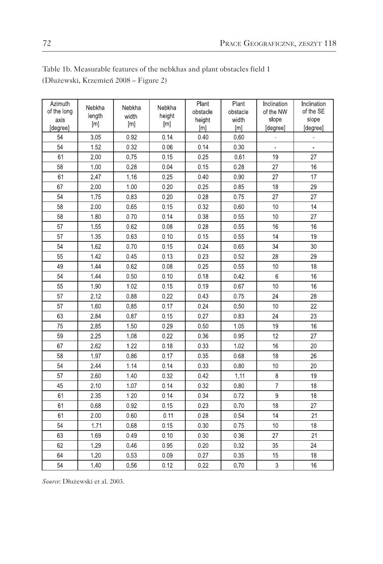## Table 1b. Measurable features of the nebkhas and plant obstacles field 1 (Dłużewski, Krzemień 2008 – Figure 2)

| Azimuth<br>of the long<br>axis<br>[degree] | Nebkha<br>length<br>[m] | Nebkha<br>width<br>[m] | Nebkha<br>height<br>[m] | Plant<br>obstacle<br>height<br>[m] | Plant<br>obstacle<br>width<br>[m] | Inclination<br>of the NW<br>slope<br>[degree] | Inclination<br>of the SE<br>slope<br>[degree] |
|--------------------------------------------|-------------------------|------------------------|-------------------------|------------------------------------|-----------------------------------|-----------------------------------------------|-----------------------------------------------|
| 54                                         | 3.05                    | 0.92                   | 0.14                    | 0.40                               | 0.60                              |                                               |                                               |
| 54                                         | 1.52                    | 0.32                   | 0.06                    | 0.14                               | 0.30                              |                                               |                                               |
| 61                                         | 2.00                    | 0.75                   | 0.15                    | 0.25                               | 0.61                              | 19                                            | 27                                            |
| 58                                         | 1.00                    | 0.28                   | 0.04                    | 0.15                               | 0.28                              | 27                                            | 16                                            |
| 61                                         | 2.47                    | 1.16                   | 0.25                    | 0.40                               | 0.90                              | 27                                            | 17                                            |
| 67                                         | 2.00                    | 1.00                   | 0.20                    | 0.25                               | 0.85                              | 18                                            | 29                                            |
| 54                                         | 1.75                    | 0.83                   | 0.20                    | 0.28                               | 0.75                              | 27                                            | 27                                            |
| 58                                         | 2.00                    | 0.65                   | 0.15                    | 0.32                               | 0.60                              | 10                                            | 14                                            |
| 58                                         | 1.80                    | 0.70                   | 0.14                    | 0.38                               | 0.55                              | 10                                            | 27                                            |
| 57                                         | 1.55                    | 0.62                   | 0.08                    | 0.28                               | 0.55                              | 16                                            | 16                                            |
| 57                                         | 1.35                    | 0.63                   | 0.10                    | 0.15                               | 0.55                              | 14                                            | 19                                            |
| 54                                         | 1.62                    | 0.70                   | 0.15                    | 0.24                               | 0.65                              | 34                                            | 30                                            |
| 55                                         | 1.42                    | 0.45                   | 0.13                    | 0.23                               | 0.52                              | 28                                            | 29                                            |
| 49                                         | 1.44                    | 0.62                   | 0.08                    | 0.25                               | 0.55                              | 10                                            | 18                                            |
| 54                                         | 1.44                    | 0.50                   | 0.10                    | 0.18                               | 0.42                              | 6                                             | 16                                            |
| 55                                         | 1.90                    | 1.02                   | 0.15                    | 0.19                               | 0.67                              | 10                                            | 16                                            |
| 57                                         | 2.12                    | 0.88                   | 0.22                    | 0.43                               | 0.75                              | 24                                            | 28                                            |
| 57                                         | 1.60                    | 0.85                   | 0.17                    | 0.24                               | 0.50                              | 10                                            | 22                                            |
| 63                                         | 2.84                    | 0.87                   | 0.15                    | 0.27                               | 0.83                              | 24                                            | 23                                            |
| 75                                         | 2.85                    | 1.50                   | 0.29                    | 0.50                               | 1.05                              | 19                                            | 16                                            |
| 59                                         | 2.25                    | 1.08                   | 0.22                    | 0.36                               | 0.95                              | 12                                            | 27                                            |
| 67                                         | 2.62                    | 1.22                   | 0.18                    | 0.33                               | 1.02                              | 16                                            | 20                                            |
| 58                                         | 1.97                    | 0.86                   | 0.17                    | 0.35                               | 0.68                              | 18                                            | 26                                            |
| 54                                         | 2.44                    | 1.14                   | 0.14                    | 0.33                               | 0.80                              | 10                                            | 20                                            |
| 57                                         | 2.60                    | 1.40                   | 0.32                    | 0.42                               | 1.11                              | 8                                             | 19                                            |
| 45                                         | 2.10                    | 1.07                   | 0.14                    | 0.32                               | 0.80                              | $\overline{7}$                                | 18                                            |
| 61                                         | 2.35                    | 1.20                   | 0.14                    | 0.34                               | 0.72                              | 9                                             | 18                                            |
| 61                                         | 0.68                    | 0.92                   | 0.15                    | 0.23                               | 0.70                              | 18                                            | 27                                            |
| 61                                         | 2.00                    | 0.60                   | 0.11                    | 0.28                               | 0.54                              | 14                                            | 21                                            |
| 54                                         | 1.71                    | 0.68                   | 0.15                    | 0.30                               | 0.75                              | 10                                            | 18                                            |
| 63                                         | 1.69                    | 0.49                   | 0.10                    | 0.30                               | 0.36                              | 27                                            | 21                                            |
| 62                                         | 1.29                    | 0.46                   | 0.95                    | 0.20                               | 0.32                              | 35                                            | 24                                            |
| 64                                         | 1.20                    | 0.53                   | 0.09                    | 0.27                               | 0.35                              | 15                                            | 18                                            |
| 54                                         | 1.40                    | 0.56                   | 0.12                    | 0.22                               | 0.70                              | 3                                             | 16                                            |

*Source*: Dłużewski et al. 2003.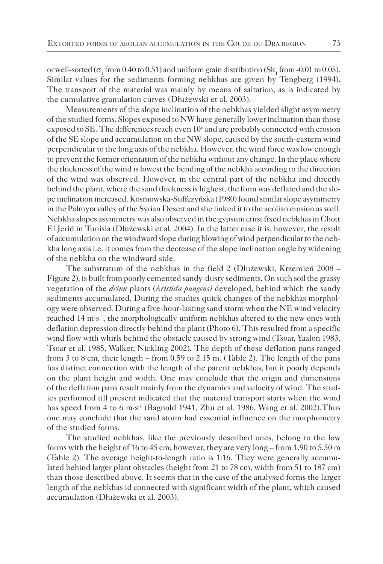or well-sorted ( $\sigma_1$  from 0.40 to 0.51) and uniform grain distribution (Sk<sub>1</sub> from -0.01 to 0.05). Similar values for the sediments forming nebkhas are given by Tengberg (1994). The transport of the material was mainly by means of saltation, as is indicated by the cumulative granulation curves (Dłużewski et al. 2003).

Measurements of the slope inclination of the nebkhas yielded slight asymmetry of the studied forms. Slopes exposed to NW have generally lower inclination than those exposed to SE. The differences reach even 10° and are probably connected with erosion of the SE slope and accumulation on the NW slope, caused by the south-eastern wind perpendicular to the long axis of the nebkha. However, the wind force was low enough to prevent the former orientation of the nebkha without any change. In the place where the thickness of the wind is lowest the bending of the nebkha according to the direction of the wind was observed. However, in the central part of the nebkha and directly behind the plant, where the sand thickness is highest, the form was deflated and the slope inclination increased. Kosmowska-Suffczyńska (1980) found similar slope asymmetry in the Palmyra valley of the Syrian Desert and she linked it to the aeolian erosion as well. Nebkha slopes asymmetry was also observed in the gypsum crust fixed nebkhas in Chott El Jerid in Tunisia (Dłużewski et al. 2004). In the latter case it is, however, the result of accumulation on the windward slope during blowing of wind perpendicular to the nebkha long axis i.e. it comes from the decrease of the slope inclination angle by widening of the nebkha on the windward side.

The substratum of the nebkhas in the field 2 (Dłużewski, Krzemień 2008 – Figure 2), is built from poorly cemented sandy-dusty sediments. On such soil the grassy vegetation of the *drinn* plants (*Aristida pungens)* developed*,* behind which the sandy sediments accumulated. During the studies quick changes of the nebkhas morphology were observed. During a five-hour-lasting sand storm when the NE wind velocity reached 14 m·s-1, the morphologically uniform nebkhas altered to the new ones with deflation depression directly behind the plant (Photo 6). This resulted from a specific wind flow with whirls behind the obstacle caused by strong wind (Tsoar, Yaalon 1983, Tsoar et al. 1985, Walker, Nickling 2002). The depth of these deflation pans ranged from 3 to 8 cm, their length – from 0.59 to 2.15 m. (Table 2). The length of the pans has distinct connection with the length of the parent nebkhas, but it poorly depends on the plant height and width. One may conclude that the origin and dimensions of the deflation pans result mainly from the dynamics and velocity of wind. The studies performed till present indicated that the material transport starts when the wind has speed from 4 to 6 m·s<sup>-1</sup> (Bagnold 1941, Zhu et al. 1986, Wang et al. 2002). Thus one may conclude that the sand storm had essential influence on the morphometry of the studied forms.

The studied nebkhas, like the previously described ones, belong to the low forms with the height of 16 to 45 cm; however, they are very long – from 1.90 to 5.50 m (Table 2). The average height-to-length ratio is 1:16. They were generally accumulated behind larger plant obstacles (height from 21 to 78 cm, width from 51 to 187 cm) than those described above. It seems that in the case of the analysed forms the larger length of the nebkhas id connected with significant width of the plant, which caused accumulation (Dłużewski et al. 2003).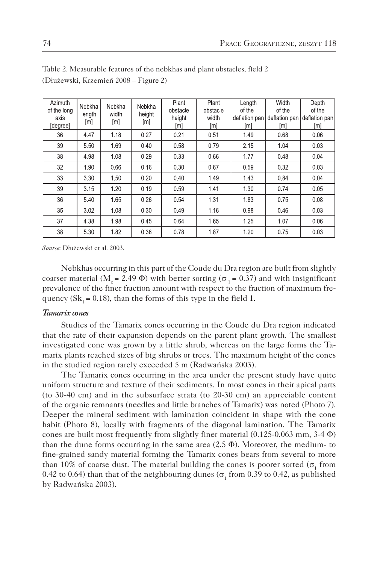| Azimuth<br>of the long<br>axis<br>[degree] | Nebkha<br>length<br>[m] | Nebkha<br>width<br>[m] | Nebkha<br>height<br>[m] | Plant<br>obstacle<br>height<br>[m] | Plant<br>obstacle<br>width<br>[m] | Length<br>of the<br>deflation pan<br>[m] | Width<br>of the<br>deflation pan<br>[m] | Depth<br>of the<br>deflation pan<br>[m] |
|--------------------------------------------|-------------------------|------------------------|-------------------------|------------------------------------|-----------------------------------|------------------------------------------|-----------------------------------------|-----------------------------------------|
| 36                                         | 4.47                    | 1.18                   | 0.27                    | 0.21                               | 0.51                              | 1.49                                     | 0.68                                    | 0.06                                    |
| 39                                         | 5.50                    | 1.69                   | 0.40                    | 0.58                               | 0.79                              | 2.15                                     | 1.04                                    | 0.03                                    |
| 38                                         | 4.98                    | 1.08                   | 0.29                    | 0.33                               | 0.66                              | 1.77                                     | 0.48                                    | 0.04                                    |
| 32                                         | 1.90                    | 0.66                   | 0.16                    | 0.30                               | 0.67                              | 0.59                                     | 0.32                                    | 0.03                                    |
| 33                                         | 3.30                    | 1.50                   | 0.20                    | 0.40                               | 1.49                              | 1.43                                     | 0.84                                    | 0.04                                    |
| 39                                         | 3.15                    | 1.20                   | 0.19                    | 0.59                               | 1.41                              | 1.30                                     | 0.74                                    | 0.05                                    |
| 36                                         | 5.40                    | 1.65                   | 0.26                    | 0.54                               | 1.31                              | 1.83                                     | 0.75                                    | 0.08                                    |
| 35                                         | 3.02                    | 1.08                   | 0.30                    | 0.49                               | 1.16                              | 0.98                                     | 0.46                                    | 0.03                                    |
| 37                                         | 4.38                    | 1.98                   | 0.45                    | 0.64                               | 1.65                              | 1.25                                     | 1.07                                    | 0.06                                    |
| 38                                         | 5.30                    | 1.82                   | 0.38                    | 0.78                               | 1.87                              | 1.20                                     | 0.75                                    | 0.03                                    |

Table 2. Measurable features of the nebkhas and plant obstacles, field 2 (Dłużewski, Krzemień 2008 – Figure 2)

*Source*: Dłużewski et al. 2003.

Nebkhas occurring in this part of the Coude du Dra region are built from slightly coarser material ( $M_a$  = 2.49 Φ) with better sorting ( $\sigma_1$  = 0.37) and with insignificant prevalence of the finer fraction amount with respect to the fraction of maximum frequency  $(Sk_1 = 0.18)$ , than the forms of this type in the field 1.

#### *Tamarix cones*

Studies of the Tamarix cones occurring in the Coude du Dra region indicated that the rate of their expansion depends on the parent plant growth. The smallest investigated cone was grown by a little shrub, whereas on the large forms the Tamarix plants reached sizes of big shrubs or trees. The maximum height of the cones in the studied region rarely exceeded 5 m (Radwańska 2003).

The Tamarix cones occurring in the area under the present study have quite uniform structure and texture of their sediments. In most cones in their apical parts (to 30-40 cm) and in the subsurface strata (to 20-30 cm) an appreciable content of the organic remnants (needles and little branches of Tamarix) was noted (Photo 7). Deeper the mineral sediment with lamination coincident in shape with the cone habit (Photo 8), locally with fragments of the diagonal lamination. The Tamarix cones are built most frequently from slightly finer material  $(0.125-0.063 \text{ mm}, 3-4 \Phi)$ than the dune forms occurring in the same area  $(2.5 \Phi)$ . Moreover, the medium- to fine-grained sandy material forming the Tamarix cones bears from several to more than 10% of coarse dust. The material building the cones is poorer sorted ( $\sigma_1$  from 0.42 to 0.64) than that of the neighbouring dunes ( $\sigma_1$  from 0.39 to 0.42, as published by Radwańska 2003).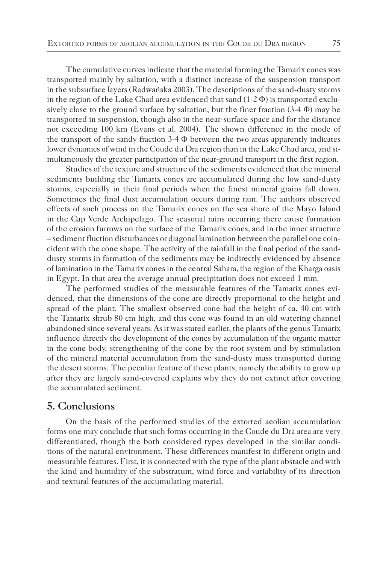The cumulative curves indicate that the material forming the Tamarix cones was transported mainly by saltation, with a distinct increase of the suspension transport in the subsurface layers (Radwańska 2003). The descriptions of the sand-dusty storms in the region of the Lake Chad area evidenced that sand  $(1-2 \Phi)$  is transported exclusively close to the ground surface by saltation, but the finer fraction  $(3-4 \Phi)$  may be transported in suspension, though also in the near-surface space and for the distance not exceeding 100 km (Evans et al. 2004). The shown difference in the mode of the transport of the sandy fraction  $3-4$   $\Phi$  between the two areas apparently indicates lower dynamics of wind in the Coude du Dra region than in the Lake Chad area, and simultaneously the greater participation of the near-ground transport in the first region.

Studies of the texture and structure of the sediments evidenced that the mineral sediments building the Tamarix cones are accumulated during the low sand-dusty storms, especially in their final periods when the finest mineral grains fall down. Sometimes the final dust accumulation occurs during rain. The authors observed effects of such process on the Tamarix cones on the sea shore of the Mayo Island in the Cap Verde Archipelago. The seasonal rains occurring there cause formation of the erosion furrows on the surface of the Tamarix cones, and in the inner structure – sediment fluction disturbances or diagonal lamination between the parallel one coincident with the cone shape. The activity of the rainfall in the final period of the sanddusty storms in formation of the sediments may be indirectly evidenced by absence of lamination in the Tamarix cones in the central Sahara, the region of the Kharga oasis in Egypt. In that area the average annual precipitation does not exceed 1 mm.

The performed studies of the measurable features of the Tamarix cones evidenced, that the dimensions of the cone are directly proportional to the height and spread of the plant. The smallest observed cone had the height of ca. 40 cm with the Tamarix shrub 80 cm high, and this cone was found in an old watering channel abandoned since several years. As it was stated earlier, the plants of the genus Tamarix influence directly the development of the cones by accumulation of the organic matter in the cone body, strengthening of the cone by the root system and by stimulation of the mineral material accumulation from the sand-dusty mass transported during the desert storms. The peculiar feature of these plants, namely the ability to grow up after they are largely sand-covered explains why they do not extinct after covering the accumulated sediment.

## **5. Conclusions**

On the basis of the performed studies of the extorted aeolian accumulation forms one may conclude that such forms occurring in the Coude du Dra area are very differentiated, though the both considered types developed in the similar conditions of the natural environment. These differences manifest in different origin and measurable features. First, it is connected with the type of the plant obstacle and with the kind and humidity of the substratum, wind force and variability of its direction and textural features of the accumulating material.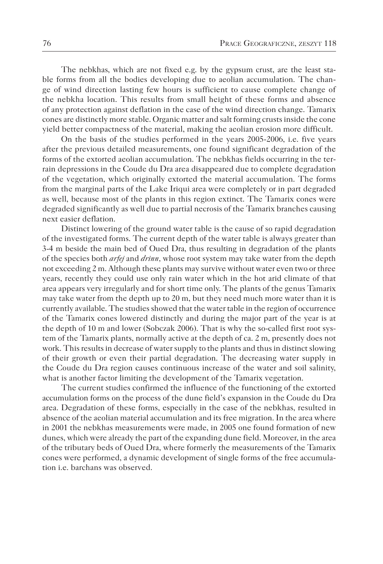The nebkhas, which are not fixed e.g. by the gypsum crust, are the least stable forms from all the bodies developing due to aeolian accumulation. The change of wind direction lasting few hours is sufficient to cause complete change of the nebkha location. This results from small height of these forms and absence of any protection against deflation in the case of the wind direction change. Tamarix cones are distinctly more stable. Organic matter and salt forming crusts inside the cone yield better compactness of the material, making the aeolian erosion more difficult.

On the basis of the studies performed in the years 2005-2006, i.e. five years after the previous detailed measurements, one found significant degradation of the forms of the extorted aeolian accumulation. The nebkhas fields occurring in the terrain depressions in the Coude du Dra area disappeared due to complete degradation of the vegetation, which originally extorted the material accumulation. The forms from the marginal parts of the Lake Iriqui area were completely or in part degraded as well, because most of the plants in this region extinct. The Tamarix cones were degraded significantly as well due to partial necrosis of the Tamarix branches causing next easier deflation.

Distinct lowering of the ground water table is the cause of so rapid degradation of the investigated forms. The current depth of the water table is always greater than 3-4 m beside the main bed of Oued Dra, thus resulting in degradation of the plants of the species both *arfej* and *drinn,* whose root system may take water from the depth not exceeding 2 m. Although these plants may survive without water even two or three years, recently they could use only rain water which in the hot arid climate of that area appears very irregularly and for short time only. The plants of the genus Tamarix may take water from the depth up to 20 m, but they need much more water than it is currently available. The studies showed that the water table in the region of occurrence of the Tamarix cones lowered distinctly and during the major part of the year is at the depth of 10 m and lower (Sobczak 2006). That is why the so-called first root system of the Tamarix plants, normally active at the depth of ca. 2 m, presently does not work. This results in decrease of water supply to the plants and thus in distinct slowing of their growth or even their partial degradation. The decreasing water supply in the Coude du Dra region causes continuous increase of the water and soil salinity, what is another factor limiting the development of the Tamarix vegetation.

The current studies confirmed the influence of the functioning of the extorted accumulation forms on the process of the dune field's expansion in the Coude du Dra area. Degradation of these forms, especially in the case of the nebkhas, resulted in absence of the aeolian material accumulation and its free migration. In the area where in 2001 the nebkhas measurements were made, in 2005 one found formation of new dunes, which were already the part of the expanding dune field. Moreover, in the area of the tributary beds of Oued Dra, where formerly the measurements of the Tamarix cones were performed, a dynamic development of single forms of the free accumulation i.e. barchans was observed.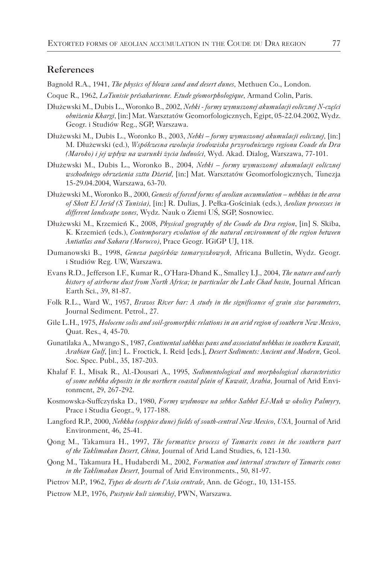### **References**

Bagnold R.A., 1941, *The physics of blown sand and desert dunes,* Methuen Co., London.

- Coque R., 1962, *LaTunisie présaharienne. Etude géomorphologique,* Armand Colin, Paris.
- Dłużewski M., Dubis L., Woronko B., 2002, *Nebki formy wymuszonej akumulacji eolicznej N-części obniżenia Khargi,* [in:] Mat. Warsztatów Geomorfologicznych, Egipt, 05-22.04.2002, Wydz. Geogr. i Studiów Reg., SGP, Warszawa.
- Dłużewski M., Dubis L., Woronko B., 2003, *Nebki formy wymuszonej akumulacji eolicznej,* [in:] M. Dłużewski (ed.), *Współczesna ewolucja środowiska przyrodniczego regionu Coude du Dra (Maroko) i jej wpływ na warunki życia ludności,* Wyd. Akad. Dialog, Warszawa, 77-101.
- Dłużewski M., Dubis L., Woronko B., 2004, *Nebki formy wymuszonej akumulacji eolicznej wschodniego obrzeżenia szttu Dżerid,* [in:] Mat. Warsztatów Geomorfologicznych, Tunezja 15-29.04.2004, Warszawa, 63-70.
- Dłużewski M., Woronko B., 2000, *Genesis of forced forms of aeolian accumulation nebkhas in the area of Shott El Jerid (S Tunisia),* [in:] R. Dulias, J. Pełka-Gościniak (eds.), *Aeolian processes in different landscape zones,* Wydz. Nauk o Ziemi UŚ, SGP, Sosnowiec.
- Dłużewski M., Krzemień K., 2008, *Physical geography of the Coude du Dra region*, [in] S. Skiba, K. Krzemień (eds.), *Contemporary evolution of the natural environment of the region between Antiatlas and Sahara (Morocco)*, Prace Geogr. IGiGP UJ, 118.
- Dumanowski B., 1998, *Geneza pagórków tamaryszkowych,* Africana Bulletin, Wydz. Geogr. i Studiów Reg. UW, Warszawa.
- Evans R.D., Jefferson I.F., Kumar R., O'Hara-Dhand K., Smalley I.J., 2004, *The nature and early*  history of airborne dust from North Africa; in particular the Lake Chad basin, Journal African Earth Sci., 39, 81-87.
- Folk R.L., Ward W., 1957, *Brazos River bar: A study in the significance of grain size parameters,* Journal Sediment. Petrol., 27.
- Gile L.H., 1975, *Holocene solis and soil-geomorphic relations in an arid region of southern New Mexico,* Quat. Res., 4, 45-70.
- Gunatilaka A., Mwango S., 1987, *Continental sabkhas pans and associated nebkhas in southern Kuwait, Arabian Gulf*, [in:] L. Froctick, I. Reid [eds.], *Desert Sediments: Ancient and Modern,* Geol. Soc. Spec. Publ., 35, 187-203.
- Khalaf F. I., Misak R., Al.-Dousari A., 1995, *Sedimentological and morphological characteristics of some nebkha deposits in the northern coastal plain of Kuwait, Arabia,* Journal of Arid Environment, 29, 267-292.
- Kosmowska-Suffczyńska D., 1980, *Formy wydmowe na sebhce Sabhet El-Muh w okolicy Palmyry,* Prace i Studia Geogr., 9, 177-188.
- Langford R.P., 2000, *Nebkha (coppice dune) fields of south-central New Mexico, USA,* Journal of Arid Environment, 46, 25-41.
- Qong M., Takamura H., 1997, *The formative process of Tamarix cones in the southern part of the Taklimakan Desert, China,* Journal of Arid Land Studies, 6, 121-130.
- Qong M., Takamura H., Hudaberdi M., 2002, *Formation and internal structure of Tamarix cones in the Taklimakan Desert,* Journal of Arid Environments., 50, 81-97.
- Pietrov M.P., 1962, *Types de deserts de l'Asia centrale*, Ann. de Géogr., 10, 131-155.
- Pietrow M.P., 1976, *Pustynie kuli ziemskiej,* PWN, Warszawa.